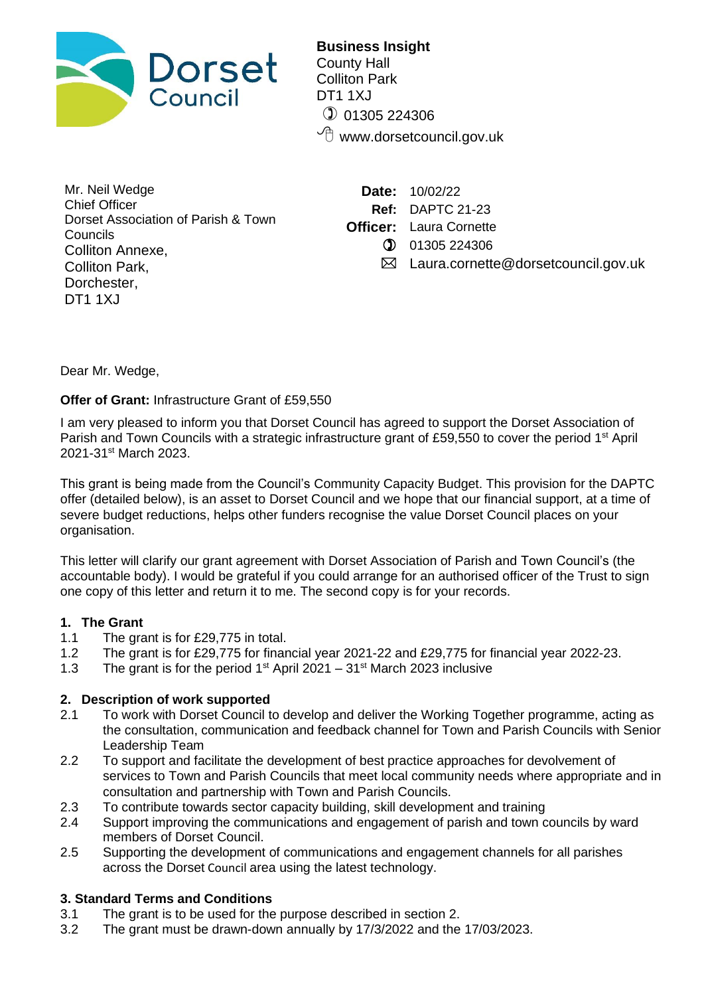

**Business Insight** County Hall Colliton Park DT1 1XJ  $①$  01305 224306  $\sqrt{\overline{C}}$  www.dorsetcouncil.gov.uk

Mr. Neil Wedge Chief Officer Dorset Association of Parish & Town **Councils** Colliton Annexe, Colliton Park, Dorchester, DT1 1XJ

**Date:** 10/02/22 **Ref:** DAPTC 21-23 **Officer:** Laura Cornette 01305 224306

 $\boxtimes$  Laura.cornette@dorsetcouncil.gov.uk

Dear Mr. Wedge,

**Offer of Grant:** Infrastructure Grant of £59,550

I am very pleased to inform you that Dorset Council has agreed to support the Dorset Association of Parish and Town Councils with a strategic infrastructure grant of £59,550 to cover the period 1<sup>st</sup> April 2021-31st March 2023.

This grant is being made from the Council's Community Capacity Budget. This provision for the DAPTC offer (detailed below), is an asset to Dorset Council and we hope that our financial support, at a time of severe budget reductions, helps other funders recognise the value Dorset Council places on your organisation.

This letter will clarify our grant agreement with Dorset Association of Parish and Town Council's (the accountable body). I would be grateful if you could arrange for an authorised officer of the Trust to sign one copy of this letter and return it to me. The second copy is for your records.

# **1. The Grant**

- 1.1 The grant is for £29,775 in total.
- 1.2 The grant is for £29,775 for financial year 2021-22 and £29,775 for financial year 2022-23.
- 1.3 The grant is for the period  $1<sup>st</sup>$  April 2021 31<sup>st</sup> March 2023 inclusive

# **2. Description of work supported**

- 2.1 To work with Dorset Council to develop and deliver the Working Together programme, acting as the consultation, communication and feedback channel for Town and Parish Councils with Senior Leadership Team
- 2.2 To support and facilitate the development of best practice approaches for devolvement of services to Town and Parish Councils that meet local community needs where appropriate and in consultation and partnership with Town and Parish Councils.
- 2.3 To contribute towards sector capacity building, skill development and training
- 2.4 Support improving the communications and engagement of parish and town councils by ward members of Dorset Council.
- 2.5 Supporting the development of communications and engagement channels for all parishes across the Dorset Council area using the latest technology.

# **3. Standard Terms and Conditions**

- 3.1 The grant is to be used for the purpose described in section 2.
- 3.2 The grant must be drawn-down annually by 17/3/2022 and the 17/03/2023.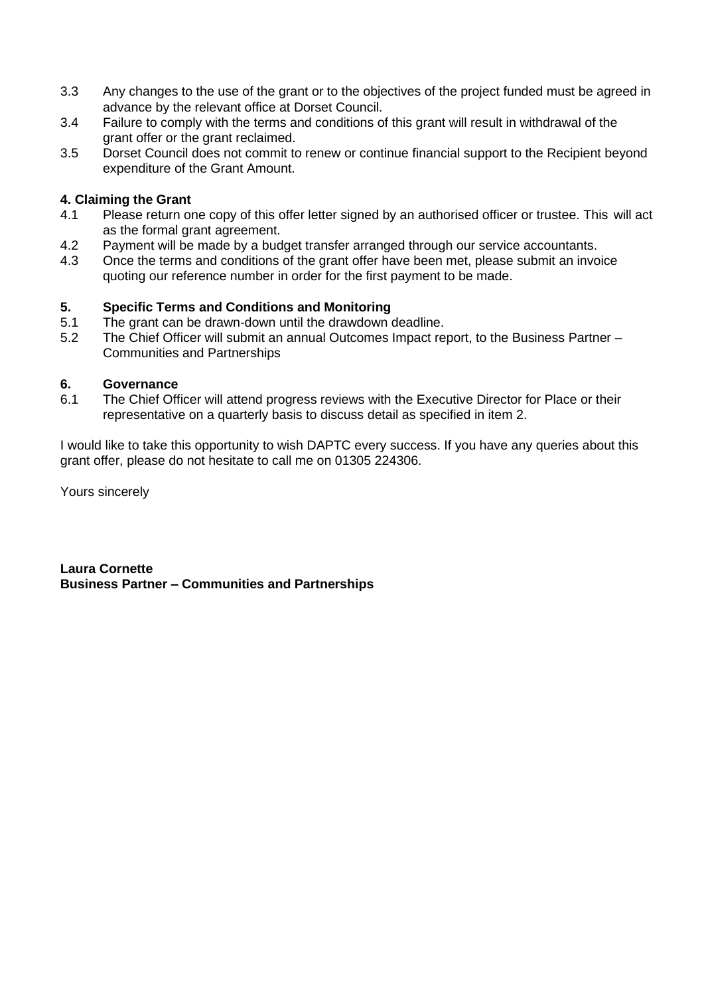- 3.3 Any changes to the use of the grant or to the objectives of the project funded must be agreed in advance by the relevant office at Dorset Council.
- 3.4 Failure to comply with the terms and conditions of this grant will result in withdrawal of the grant offer or the grant reclaimed.
- 3.5 Dorset Council does not commit to renew or continue financial support to the Recipient beyond expenditure of the Grant Amount.

### **4. Claiming the Grant**

- 4.1 Please return one copy of this offer letter signed by an authorised officer or trustee. This will act as the formal grant agreement.
- 4.2 Payment will be made by a budget transfer arranged through our service accountants.
- 4.3 Once the terms and conditions of the grant offer have been met, please submit an invoice quoting our reference number in order for the first payment to be made.

### **5. Specific Terms and Conditions and Monitoring**

- 5.1 The grant can be drawn-down until the drawdown deadline.
- 5.2 The Chief Officer will submit an annual Outcomes Impact report, to the Business Partner Communities and Partnerships

#### **6. Governance**

6.1 The Chief Officer will attend progress reviews with the Executive Director for Place or their representative on a quarterly basis to discuss detail as specified in item 2.

I would like to take this opportunity to wish DAPTC every success. If you have any queries about this grant offer, please do not hesitate to call me on 01305 224306.

Yours sincerely

**Laura Cornette Business Partner – Communities and Partnerships**